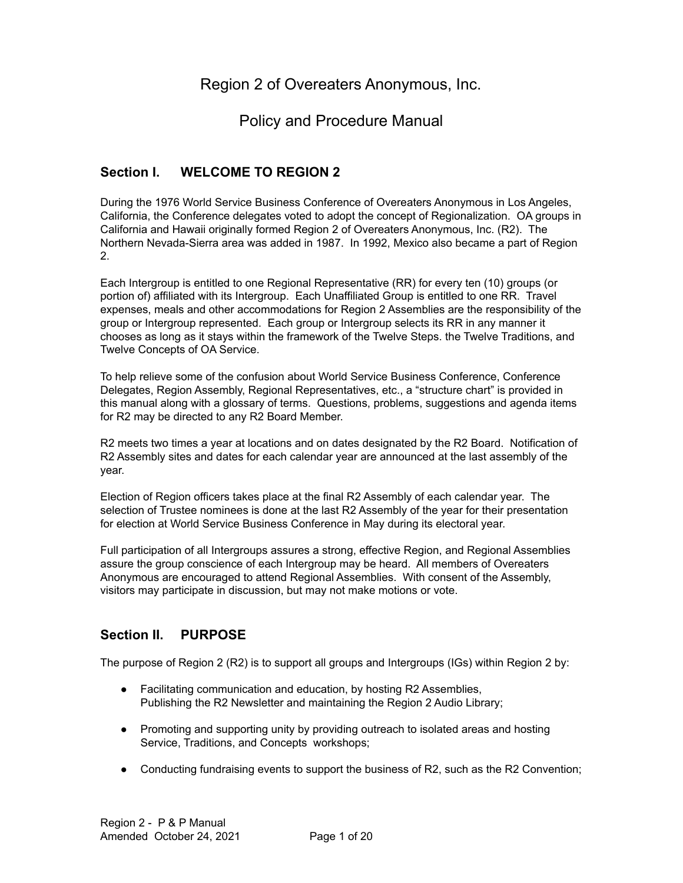# Region 2 of Overeaters Anonymous, Inc.

# Policy and Procedure Manual

## **Section I. WELCOME TO REGION 2**

During the 1976 World Service Business Conference of Overeaters Anonymous in Los Angeles, California, the Conference delegates voted to adopt the concept of Regionalization. OA groups in California and Hawaii originally formed Region 2 of Overeaters Anonymous, Inc. (R2). The Northern Nevada-Sierra area was added in 1987. In 1992, Mexico also became a part of Region 2.

Each Intergroup is entitled to one Regional Representative (RR) for every ten (10) groups (or portion of) affiliated with its Intergroup. Each Unaffiliated Group is entitled to one RR. Travel expenses, meals and other accommodations for Region 2 Assemblies are the responsibility of the group or Intergroup represented. Each group or Intergroup selects its RR in any manner it chooses as long as it stays within the framework of the Twelve Steps. the Twelve Traditions, and Twelve Concepts of OA Service.

To help relieve some of the confusion about World Service Business Conference, Conference Delegates, Region Assembly, Regional Representatives, etc., a "structure chart" is provided in this manual along with a glossary of terms. Questions, problems, suggestions and agenda items for R2 may be directed to any R2 Board Member.

R2 meets two times a year at locations and on dates designated by the R2 Board. Notification of R2 Assembly sites and dates for each calendar year are announced at the last assembly of the year.

Election of Region officers takes place at the final R2 Assembly of each calendar year. The selection of Trustee nominees is done at the last R2 Assembly of the year for their presentation for election at World Service Business Conference in May during its electoral year.

Full participation of all Intergroups assures a strong, effective Region, and Regional Assemblies assure the group conscience of each Intergroup may be heard. All members of Overeaters Anonymous are encouraged to attend Regional Assemblies. With consent of the Assembly, visitors may participate in discussion, but may not make motions or vote.

## **Section II. PURPOSE**

The purpose of Region 2 (R2) is to support all groups and Intergroups (IGs) within Region 2 by:

- Facilitating communication and education, by hosting R2 Assemblies, Publishing the R2 Newsletter and maintaining the Region 2 Audio Library;
- Promoting and supporting unity by providing outreach to isolated areas and hosting Service, Traditions, and Concepts workshops;
- Conducting fundraising events to support the business of R2, such as the R2 Convention;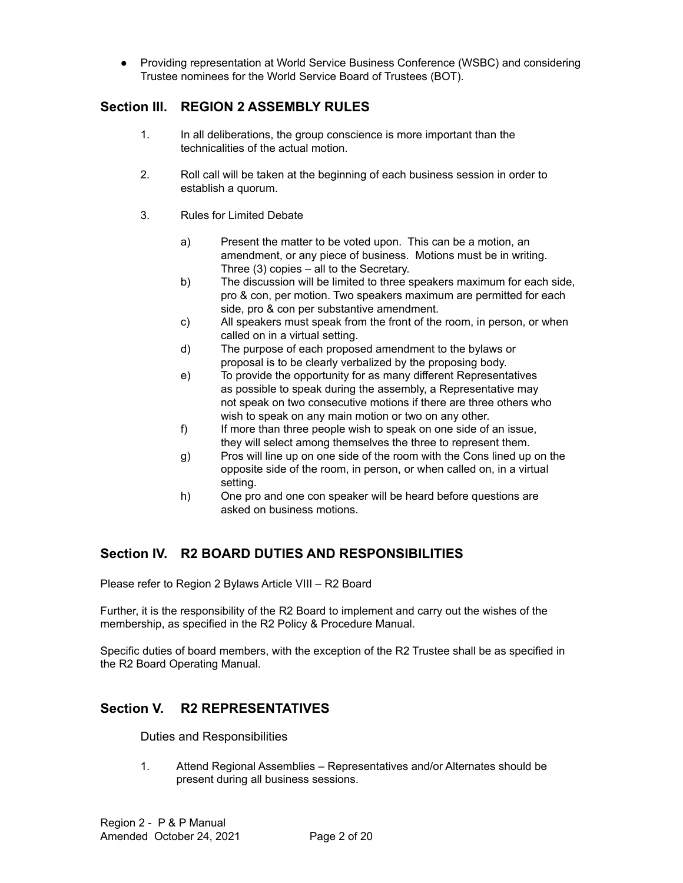● Providing representation at World Service Business Conference (WSBC) and considering Trustee nominees for the World Service Board of Trustees (BOT).

## **Section III. REGION 2 ASSEMBLY RULES**

- 1. In all deliberations, the group conscience is more important than the technicalities of the actual motion.
- 2. Roll call will be taken at the beginning of each business session in order to establish a quorum.
- 3. Rules for Limited Debate
	- a) Present the matter to be voted upon. This can be a motion, an amendment, or any piece of business. Motions must be in writing. Three (3) copies – all to the Secretary.
	- b) The discussion will be limited to three speakers maximum for each side, pro & con, per motion. Two speakers maximum are permitted for each side, pro & con per substantive amendment.
	- c) All speakers must speak from the front of the room, in person, or when called on in a virtual setting.
	- d) The purpose of each proposed amendment to the bylaws or proposal is to be clearly verbalized by the proposing body.
	- e) To provide the opportunity for as many different Representatives as possible to speak during the assembly, a Representative may not speak on two consecutive motions if there are three others who wish to speak on any main motion or two on any other.
	- f) If more than three people wish to speak on one side of an issue, they will select among themselves the three to represent them.
	- g) Pros will line up on one side of the room with the Cons lined up on the opposite side of the room, in person, or when called on, in a virtual setting.
	- h) One pro and one con speaker will be heard before questions are asked on business motions.

# **Section IV. R2 BOARD DUTIES AND RESPONSIBILITIES**

Please refer to Region 2 Bylaws Article VIII – R2 Board

Further, it is the responsibility of the R2 Board to implement and carry out the wishes of the membership, as specified in the R2 Policy & Procedure Manual.

Specific duties of board members, with the exception of the R2 Trustee shall be as specified in the R2 Board Operating Manual.

## **Section V. R2 REPRESENTATIVES**

Duties and Responsibilities

1. Attend Regional Assemblies – Representatives and/or Alternates should be present during all business sessions.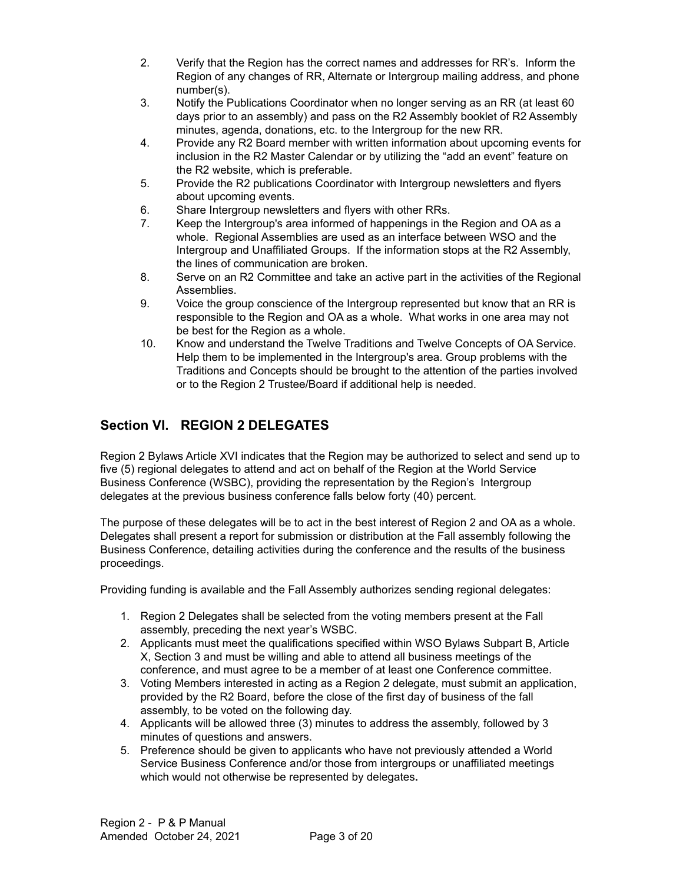- 2. Verify that the Region has the correct names and addresses for RR's. Inform the Region of any changes of RR, Alternate or Intergroup mailing address, and phone number(s).
- 3. Notify the Publications Coordinator when no longer serving as an RR (at least 60 days prior to an assembly) and pass on the R2 Assembly booklet of R2 Assembly minutes, agenda, donations, etc. to the Intergroup for the new RR.
- 4. Provide any R2 Board member with written information about upcoming events for inclusion in the R2 Master Calendar or by utilizing the "add an event" feature on the R2 website, which is preferable.
- 5. Provide the R2 publications Coordinator with Intergroup newsletters and flyers about upcoming events.
- 6. Share Intergroup newsletters and flyers with other RRs.
- 7. Keep the Intergroup's area informed of happenings in the Region and OA as a whole. Regional Assemblies are used as an interface between WSO and the Intergroup and Unaffiliated Groups. If the information stops at the R2 Assembly, the lines of communication are broken.
- 8. Serve on an R2 Committee and take an active part in the activities of the Regional Assemblies.
- 9. Voice the group conscience of the Intergroup represented but know that an RR is responsible to the Region and OA as a whole. What works in one area may not be best for the Region as a whole.
- 10. Know and understand the Twelve Traditions and Twelve Concepts of OA Service. Help them to be implemented in the Intergroup's area. Group problems with the Traditions and Concepts should be brought to the attention of the parties involved or to the Region 2 Trustee/Board if additional help is needed.

# **Section VI. REGION 2 DELEGATES**

Region 2 Bylaws Article XVI indicates that the Region may be authorized to select and send up to five (5) regional delegates to attend and act on behalf of the Region at the World Service Business Conference (WSBC), providing the representation by the Region's Intergroup delegates at the previous business conference falls below forty (40) percent.

The purpose of these delegates will be to act in the best interest of Region 2 and OA as a whole. Delegates shall present a report for submission or distribution at the Fall assembly following the Business Conference, detailing activities during the conference and the results of the business proceedings.

Providing funding is available and the Fall Assembly authorizes sending regional delegates:

- 1. Region 2 Delegates shall be selected from the voting members present at the Fall assembly, preceding the next year's WSBC.
- 2. Applicants must meet the qualifications specified within WSO Bylaws Subpart B, Article X, Section 3 and must be willing and able to attend all business meetings of the conference, and must agree to be a member of at least one Conference committee.
- 3. Voting Members interested in acting as a Region 2 delegate, must submit an application, provided by the R2 Board, before the close of the first day of business of the fall assembly, to be voted on the following day.
- 4. Applicants will be allowed three (3) minutes to address the assembly, followed by 3 minutes of questions and answers.
- 5. Preference should be given to applicants who have not previously attended a World Service Business Conference and/or those from intergroups or unaffiliated meetings which would not otherwise be represented by delegates**.**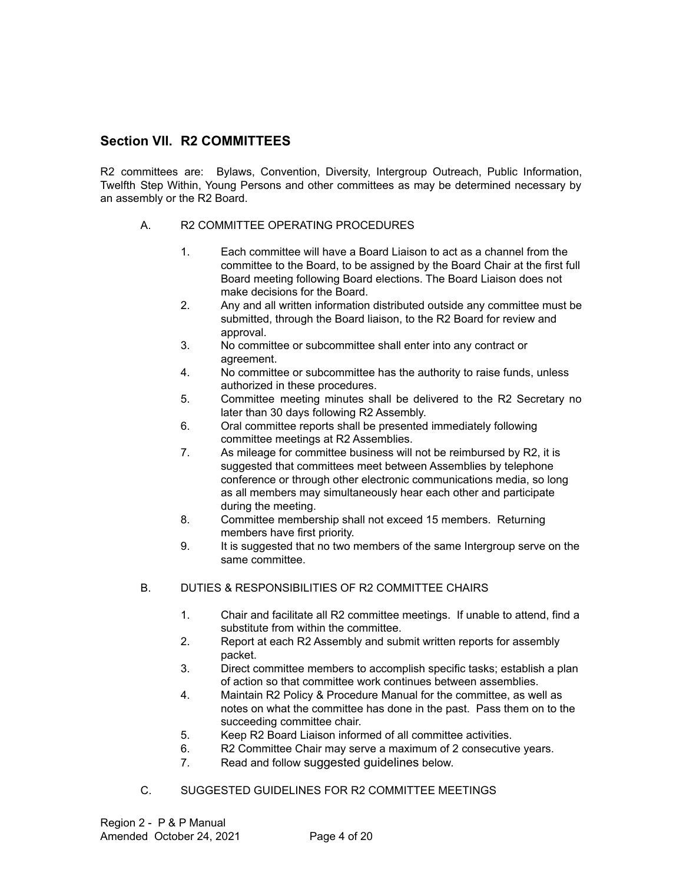## **Section VII. R2 COMMITTEES**

R2 committees are: Bylaws, Convention, Diversity, Intergroup Outreach, Public Information, Twelfth Step Within, Young Persons and other committees as may be determined necessary by an assembly or the R2 Board.

#### A. R2 COMMITTEE OPERATING PROCEDURES

- 1. Each committee will have a Board Liaison to act as a channel from the committee to the Board, to be assigned by the Board Chair at the first full Board meeting following Board elections. The Board Liaison does not make decisions for the Board.
- 2. Any and all written information distributed outside any committee must be submitted, through the Board liaison, to the R2 Board for review and approval.
- 3. No committee or subcommittee shall enter into any contract or agreement.
- 4. No committee or subcommittee has the authority to raise funds, unless authorized in these procedures.
- 5. Committee meeting minutes shall be delivered to the R2 Secretary no later than 30 days following R2 Assembly.
- 6. Oral committee reports shall be presented immediately following committee meetings at R2 Assemblies.
- 7. As mileage for committee business will not be reimbursed by R2, it is suggested that committees meet between Assemblies by telephone conference or through other electronic communications media, so long as all members may simultaneously hear each other and participate during the meeting.
- 8. Committee membership shall not exceed 15 members. Returning members have first priority.
- 9. It is suggested that no two members of the same Intergroup serve on the same committee.

## B. DUTIES & RESPONSIBILITIES OF R2 COMMITTEE CHAIRS

- 1. Chair and facilitate all R2 committee meetings. If unable to attend, find a substitute from within the committee.
- 2. Report at each R2 Assembly and submit written reports for assembly packet.
- 3. Direct committee members to accomplish specific tasks; establish a plan of action so that committee work continues between assemblies.
- 4. Maintain R2 Policy & Procedure Manual for the committee, as well as notes on what the committee has done in the past. Pass them on to the succeeding committee chair.
- 5. Keep R2 Board Liaison informed of all committee activities.
- 6. R2 Committee Chair may serve a maximum of 2 consecutive years.
- 7. Read and follow suggested guidelines below.
- C. SUGGESTED GUIDELINES FOR R2 COMMITTEE MEETINGS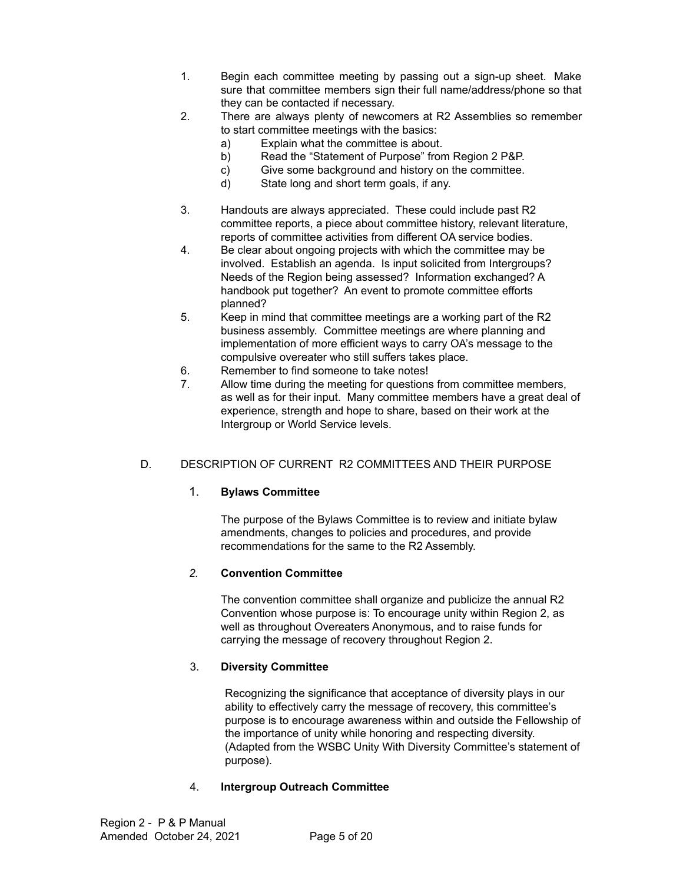- 1. Begin each committee meeting by passing out a sign-up sheet. Make sure that committee members sign their full name/address/phone so that they can be contacted if necessary.
- 2. There are always plenty of newcomers at R2 Assemblies so remember to start committee meetings with the basics:
	- a) Explain what the committee is about.
	- b) Read the "Statement of Purpose" from Region 2 P&P.
	- c) Give some background and history on the committee.
	- d) State long and short term goals, if any.
- 3. Handouts are always appreciated. These could include past R2 committee reports, a piece about committee history, relevant literature, reports of committee activities from different OA service bodies.
- 4. Be clear about ongoing projects with which the committee may be involved. Establish an agenda. Is input solicited from Intergroups? Needs of the Region being assessed? Information exchanged? A handbook put together? An event to promote committee efforts planned?
- 5. Keep in mind that committee meetings are a working part of the R2 business assembly. Committee meetings are where planning and implementation of more efficient ways to carry OA's message to the compulsive overeater who still suffers takes place.
- 6. Remember to find someone to take notes!
- 7. Allow time during the meeting for questions from committee members, as well as for their input. Many committee members have a great deal of experience, strength and hope to share, based on their work at the Intergroup or World Service levels.

## D. DESCRIPTION OF CURRENT R2 COMMITTEES AND THEIR PURPOSE

#### 1. **Bylaws Committee**

The purpose of the Bylaws Committee is to review and initiate bylaw amendments, changes to policies and procedures, and provide recommendations for the same to the R2 Assembly.

#### *2.* **Convention Committee**

The convention committee shall organize and publicize the annual R2 Convention whose purpose is: To encourage unity within Region 2, as well as throughout Overeaters Anonymous, and to raise funds for carrying the message of recovery throughout Region 2.

#### 3. **Diversity Committee**

Recognizing the significance that acceptance of diversity plays in our ability to effectively carry the message of recovery, this committee's purpose is to encourage awareness within and outside the Fellowship of the importance of unity while honoring and respecting diversity. (Adapted from the WSBC Unity With Diversity Committee's statement of purpose).

#### 4. **Intergroup Outreach Committee**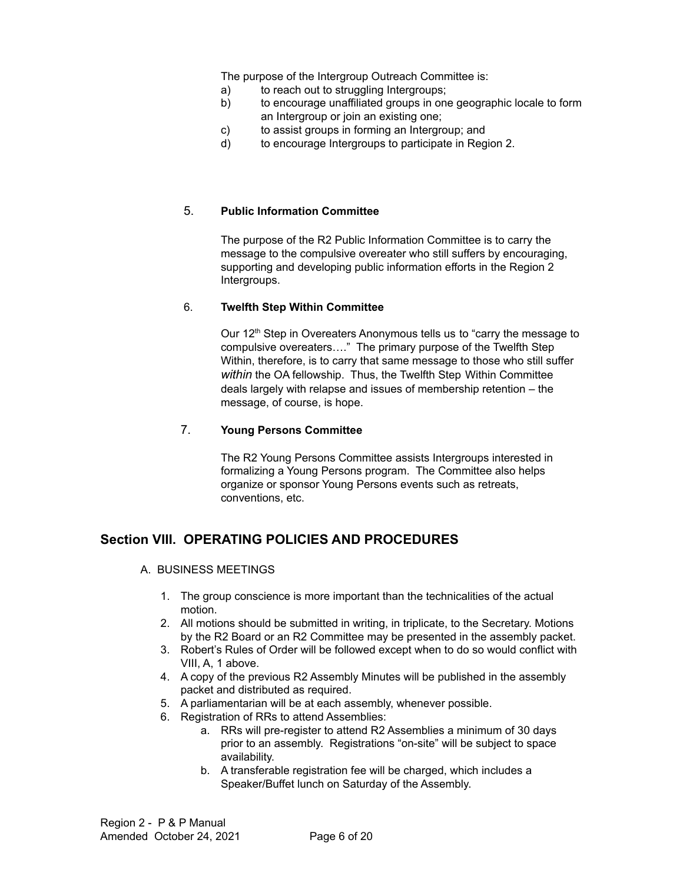The purpose of the Intergroup Outreach Committee is:

- a) to reach out to struggling Intergroups;
- b) to encourage unaffiliated groups in one geographic locale to form an Intergroup or join an existing one;
- c) to assist groups in forming an Intergroup; and
- d) to encourage Intergroups to participate in Region 2.

#### 5. **Public Information Committee**

The purpose of the R2 Public Information Committee is to carry the message to the compulsive overeater who still suffers by encouraging, supporting and developing public information efforts in the Region 2 Intergroups.

#### 6. **Twelfth Step Within Committee**

Our 12<sup>th</sup> Step in Overeaters Anonymous tells us to "carry the message to compulsive overeaters…." The primary purpose of the Twelfth Step Within, therefore, is to carry that same message to those who still suffer *within* the OA fellowship. Thus, the Twelfth Step Within Committee deals largely with relapse and issues of membership retention – the message, of course, is hope.

## 7. **Young Persons Committee**

The R2 Young Persons Committee assists Intergroups interested in formalizing a Young Persons program. The Committee also helps organize or sponsor Young Persons events such as retreats, conventions, etc.

## **Section VIII. OPERATING POLICIES AND PROCEDURES**

- A. BUSINESS MEETINGS
	- 1. The group conscience is more important than the technicalities of the actual motion.
	- 2. All motions should be submitted in writing, in triplicate, to the Secretary. Motions by the R2 Board or an R2 Committee may be presented in the assembly packet.
	- 3. Robert's Rules of Order will be followed except when to do so would conflict with VIII, A, 1 above.
	- 4. A copy of the previous R2 Assembly Minutes will be published in the assembly packet and distributed as required.
	- 5. A parliamentarian will be at each assembly, whenever possible.
	- 6. Registration of RRs to attend Assemblies:
		- a. RRs will pre-register to attend R2 Assemblies a minimum of 30 days prior to an assembly. Registrations "on-site" will be subject to space availability.
		- b. A transferable registration fee will be charged, which includes a Speaker/Buffet lunch on Saturday of the Assembly.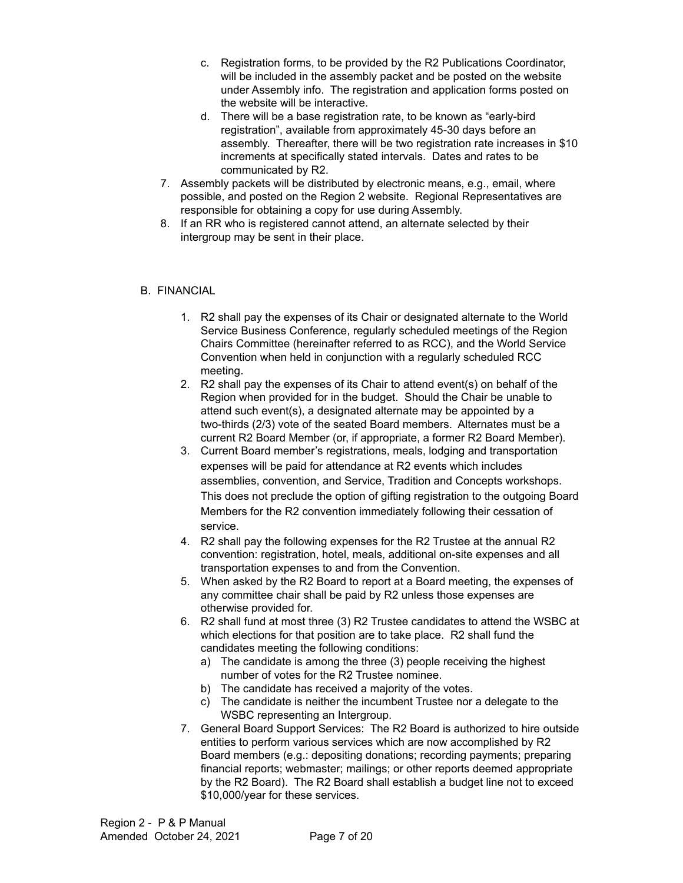- c. Registration forms, to be provided by the R2 Publications Coordinator, will be included in the assembly packet and be posted on the website under Assembly info. The registration and application forms posted on the website will be interactive.
- d. There will be a base registration rate, to be known as "early-bird registration", available from approximately 45-30 days before an assembly. Thereafter, there will be two registration rate increases in \$10 increments at specifically stated intervals. Dates and rates to be communicated by R2.
- 7. Assembly packets will be distributed by electronic means, e.g., email, where possible, and posted on the Region 2 website. Regional Representatives are responsible for obtaining a copy for use during Assembly.
- 8. If an RR who is registered cannot attend, an alternate selected by their intergroup may be sent in their place.

#### B. FINANCIAL

- 1. R2 shall pay the expenses of its Chair or designated alternate to the World Service Business Conference, regularly scheduled meetings of the Region Chairs Committee (hereinafter referred to as RCC), and the World Service Convention when held in conjunction with a regularly scheduled RCC meeting.
- 2. R2 shall pay the expenses of its Chair to attend event(s) on behalf of the Region when provided for in the budget. Should the Chair be unable to attend such event(s), a designated alternate may be appointed by a two-thirds (2/3) vote of the seated Board members. Alternates must be a current R2 Board Member (or, if appropriate, a former R2 Board Member).
- 3. Current Board member's registrations, meals, lodging and transportation expenses will be paid for attendance at R2 events which includes assemblies, convention, and Service, Tradition and Concepts workshops. This does not preclude the option of gifting registration to the outgoing Board Members for the R2 convention immediately following their cessation of service.
- 4. R2 shall pay the following expenses for the R2 Trustee at the annual R2 convention: registration, hotel, meals, additional on-site expenses and all transportation expenses to and from the Convention.
- 5. When asked by the R2 Board to report at a Board meeting, the expenses of any committee chair shall be paid by R2 unless those expenses are otherwise provided for.
- 6. R2 shall fund at most three (3) R2 Trustee candidates to attend the WSBC at which elections for that position are to take place. R2 shall fund the candidates meeting the following conditions:
	- a) The candidate is among the three (3) people receiving the highest number of votes for the R2 Trustee nominee.
	- b) The candidate has received a majority of the votes.
	- c) The candidate is neither the incumbent Trustee nor a delegate to the WSBC representing an Intergroup.
- 7. General Board Support Services: The R2 Board is authorized to hire outside entities to perform various services which are now accomplished by R2 Board members (e.g.: depositing donations; recording payments; preparing financial reports; webmaster; mailings; or other reports deemed appropriate by the R2 Board). The R2 Board shall establish a budget line not to exceed \$10,000/year for these services.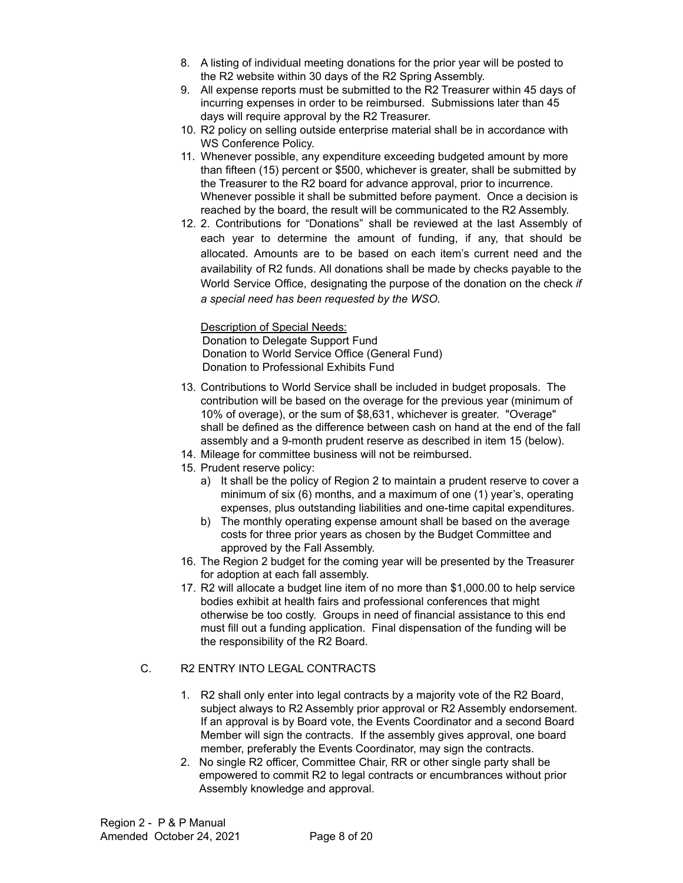- 8. A listing of individual meeting donations for the prior year will be posted to the R2 website within 30 days of the R2 Spring Assembly.
- 9. All expense reports must be submitted to the R2 Treasurer within 45 days of incurring expenses in order to be reimbursed. Submissions later than 45 days will require approval by the R2 Treasurer.
- 10. R2 policy on selling outside enterprise material shall be in accordance with WS Conference Policy.
- 11. Whenever possible, any expenditure exceeding budgeted amount by more than fifteen (15) percent or \$500, whichever is greater, shall be submitted by the Treasurer to the R2 board for advance approval, prior to incurrence. Whenever possible it shall be submitted before payment. Once a decision is reached by the board, the result will be communicated to the R2 Assembly.
- 12. 2. Contributions for "Donations" shall be reviewed at the last Assembly of each year to determine the amount of funding, if any, that should be allocated. Amounts are to be based on each item's current need and the availability of R2 funds. All donations shall be made by checks payable to the World Service Office, designating the purpose of the donation on the check *if a special need has been requested by the WSO.*

Description of Special Needs: Donation to Delegate Support Fund Donation to World Service Office (General Fund) Donation to Professional Exhibits Fund

- 13. Contributions to World Service shall be included in budget proposals. The contribution will be based on the overage for the previous year (minimum of 10% of overage), or the sum of \$8,631, whichever is greater. "Overage" shall be defined as the difference between cash on hand at the end of the fall assembly and a 9-month prudent reserve as described in item 15 (below).
- 14. Mileage for committee business will not be reimbursed.
- 15. Prudent reserve policy:
	- a) It shall be the policy of Region 2 to maintain a prudent reserve to cover a minimum of six (6) months, and a maximum of one (1) year's, operating expenses, plus outstanding liabilities and one-time capital expenditures.
	- b) The monthly operating expense amount shall be based on the average costs for three prior years as chosen by the Budget Committee and approved by the Fall Assembly.
- 16. The Region 2 budget for the coming year will be presented by the Treasurer for adoption at each fall assembly.
- 17. R2 will allocate a budget line item of no more than \$1,000.00 to help service bodies exhibit at health fairs and professional conferences that might otherwise be too costly. Groups in need of financial assistance to this end must fill out a funding application. Final dispensation of the funding will be the responsibility of the R2 Board.

## C. R2 ENTRY INTO LEGAL CONTRACTS

- 1. R2 shall only enter into legal contracts by a majority vote of the R2 Board, subject always to R2 Assembly prior approval or R2 Assembly endorsement. If an approval is by Board vote, the Events Coordinator and a second Board Member will sign the contracts. If the assembly gives approval, one board member, preferably the Events Coordinator, may sign the contracts.
- 2. No single R2 officer, Committee Chair, RR or other single party shall be empowered to commit R2 to legal contracts or encumbrances without prior Assembly knowledge and approval.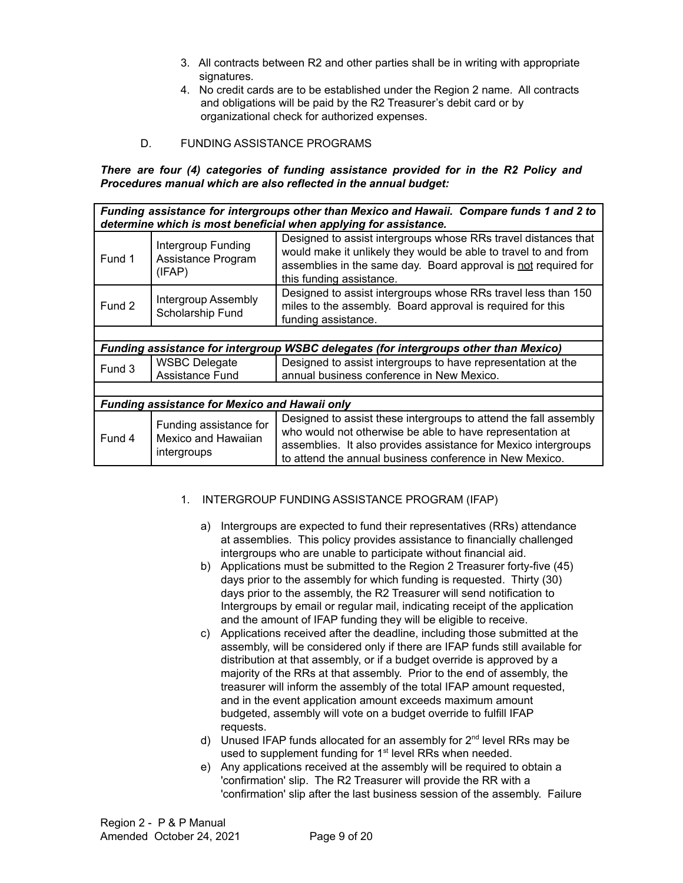- 3. All contracts between R2 and other parties shall be in writing with appropriate signatures.
- 4. No credit cards are to be established under the Region 2 name. All contracts and obligations will be paid by the R2 Treasurer's debit card or by organizational check for authorized expenses.
- D. FUNDING ASSISTANCE PROGRAMS

#### *There are four (4) categories of funding assistance provided for in the R2 Policy and Procedures manual which are also reflected in the annual budget:*

*Funding assistance for intergroups other than Mexico and Hawaii. Compare funds 1 and 2 to determine which is most beneficial when applying for assistance.*

| Fund 1                                                                                                | Intergroup Funding<br>Assistance Program<br>(IFAP)           | Designed to assist intergroups whose RRs travel distances that<br>would make it unlikely they would be able to travel to and from<br>assemblies in the same day. Board approval is not required for<br>this funding assistance.                            |  |  |  |
|-------------------------------------------------------------------------------------------------------|--------------------------------------------------------------|------------------------------------------------------------------------------------------------------------------------------------------------------------------------------------------------------------------------------------------------------------|--|--|--|
| Fund 2                                                                                                | <b>Intergroup Assembly</b><br>Scholarship Fund               | Designed to assist intergroups whose RRs travel less than 150<br>miles to the assembly. Board approval is required for this<br>funding assistance.                                                                                                         |  |  |  |
|                                                                                                       |                                                              |                                                                                                                                                                                                                                                            |  |  |  |
| <b>WSBC delegates (for intergroups other than Mexico)</b><br><b>Funding assistance for intergroup</b> |                                                              |                                                                                                                                                                                                                                                            |  |  |  |
| Fund 3                                                                                                | <b>WSBC Delegate</b>                                         | Designed to assist intergroups to have representation at the                                                                                                                                                                                               |  |  |  |
|                                                                                                       | Assistance Fund                                              | annual business conference in New Mexico.                                                                                                                                                                                                                  |  |  |  |
|                                                                                                       |                                                              |                                                                                                                                                                                                                                                            |  |  |  |
| <b>Funding assistance for Mexico and Hawaii only</b>                                                  |                                                              |                                                                                                                                                                                                                                                            |  |  |  |
| Fund 4                                                                                                | Funding assistance for<br>Mexico and Hawaiian<br>intergroups | Designed to assist these intergroups to attend the fall assembly<br>who would not otherwise be able to have representation at<br>assemblies. It also provides assistance for Mexico intergroups<br>to attend the annual business conference in New Mexico. |  |  |  |

#### 1. INTERGROUP FUNDING ASSISTANCE PROGRAM (IFAP)

- a) Intergroups are expected to fund their representatives (RRs) attendance at assemblies. This policy provides assistance to financially challenged intergroups who are unable to participate without financial aid.
- b) Applications must be submitted to the Region 2 Treasurer forty-five (45) days prior to the assembly for which funding is requested. Thirty (30) days prior to the assembly, the R2 Treasurer will send notification to Intergroups by email or regular mail, indicating receipt of the application and the amount of IFAP funding they will be eligible to receive.
- c) Applications received after the deadline, including those submitted at the assembly, will be considered only if there are IFAP funds still available for distribution at that assembly, or if a budget override is approved by a majority of the RRs at that assembly. Prior to the end of assembly, the treasurer will inform the assembly of the total IFAP amount requested, and in the event application amount exceeds maximum amount budgeted, assembly will vote on a budget override to fulfill IFAP requests.
- d) Unused IFAP funds allocated for an assembly for  $2<sup>nd</sup>$  level RRs may be used to supplement funding for 1<sup>st</sup> level RRs when needed.
- e) Any applications received at the assembly will be required to obtain a 'confirmation' slip. The R2 Treasurer will provide the RR with a 'confirmation' slip after the last business session of the assembly. Failure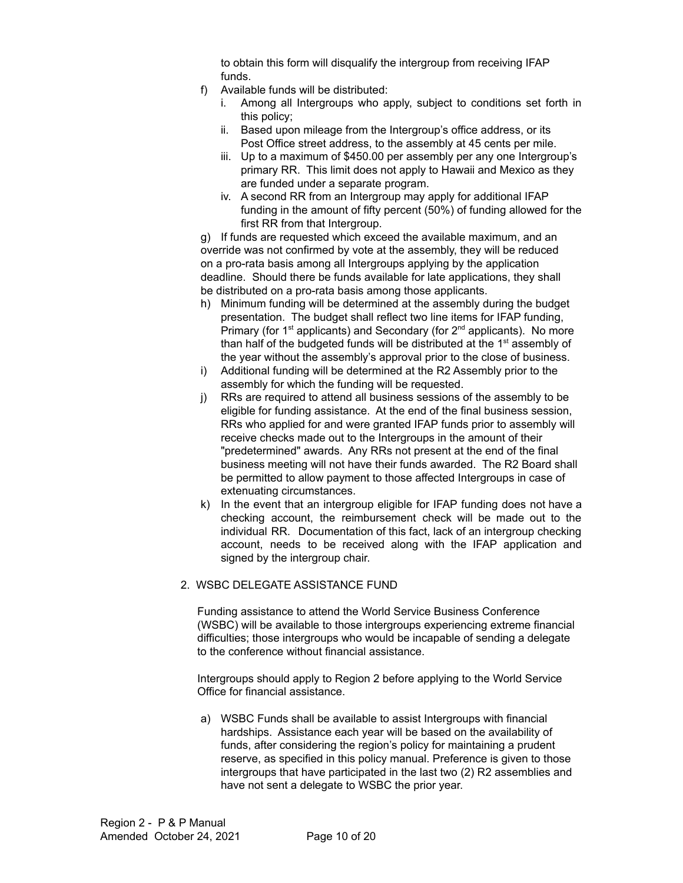to obtain this form will disqualify the intergroup from receiving IFAP funds.

- f) Available funds will be distributed:
	- i. Among all Intergroups who apply, subject to conditions set forth in this policy;
	- ii. Based upon mileage from the Intergroup's office address, or its Post Office street address, to the assembly at 45 cents per mile.
	- iii. Up to a maximum of \$450.00 per assembly per any one Intergroup's primary RR. This limit does not apply to Hawaii and Mexico as they are funded under a separate program.
	- iv. A second RR from an Intergroup may apply for additional IFAP funding in the amount of fifty percent (50%) of funding allowed for the first RR from that Intergroup.

g) If funds are requested which exceed the available maximum, and an override was not confirmed by vote at the assembly, they will be reduced on a pro-rata basis among all Intergroups applying by the application deadline. Should there be funds available for late applications, they shall be distributed on a pro-rata basis among those applicants.

- h) Minimum funding will be determined at the assembly during the budget presentation. The budget shall reflect two line items for IFAP funding, Primary (for 1<sup>st</sup> applicants) and Secondary (for 2<sup>nd</sup> applicants). No more than half of the budgeted funds will be distributed at the 1<sup>st</sup> assembly of the year without the assembly's approval prior to the close of business.
- i) Additional funding will be determined at the R2 Assembly prior to the assembly for which the funding will be requested.
- j) RRs are required to attend all business sessions of the assembly to be eligible for funding assistance. At the end of the final business session, RRs who applied for and were granted IFAP funds prior to assembly will receive checks made out to the Intergroups in the amount of their "predetermined" awards. Any RRs not present at the end of the final business meeting will not have their funds awarded. The R2 Board shall be permitted to allow payment to those affected Intergroups in case of extenuating circumstances.
- k) In the event that an intergroup eligible for IFAP funding does not have a checking account, the reimbursement check will be made out to the individual RR. Documentation of this fact, lack of an intergroup checking account, needs to be received along with the IFAP application and signed by the intergroup chair.

#### 2. WSBC DELEGATE ASSISTANCE FUND

Funding assistance to attend the World Service Business Conference (WSBC) will be available to those intergroups experiencing extreme financial difficulties; those intergroups who would be incapable of sending a delegate to the conference without financial assistance.

Intergroups should apply to Region 2 before applying to the World Service Office for financial assistance.

a) WSBC Funds shall be available to assist Intergroups with financial hardships. Assistance each year will be based on the availability of funds, after considering the region's policy for maintaining a prudent reserve, as specified in this policy manual. Preference is given to those intergroups that have participated in the last two (2) R2 assemblies and have not sent a delegate to WSBC the prior year.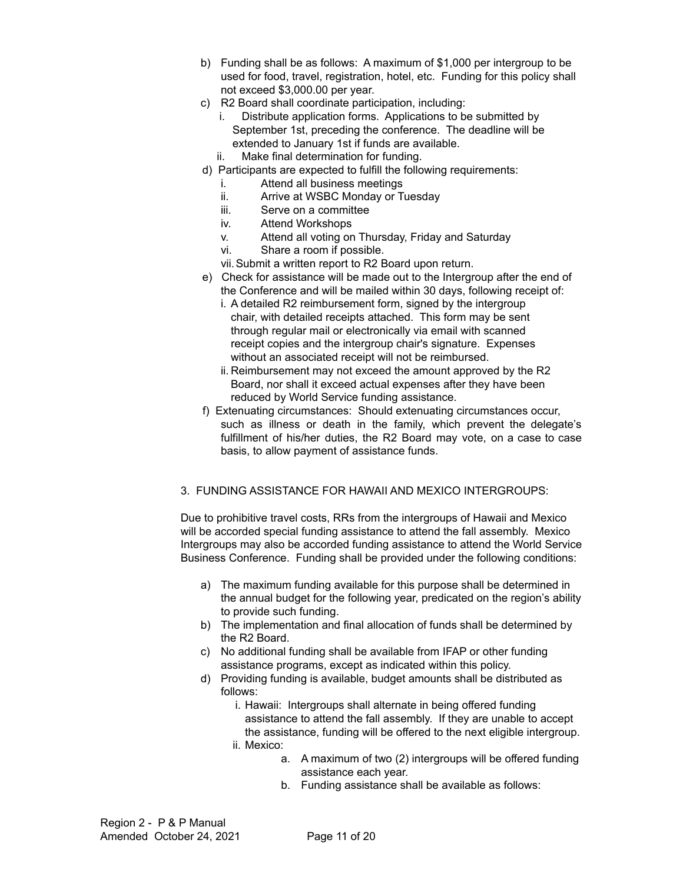- b) Funding shall be as follows: A maximum of \$1,000 per intergroup to be used for food, travel, registration, hotel, etc. Funding for this policy shall not exceed \$3,000.00 per year.
- c) R2 Board shall coordinate participation, including:
	- i. Distribute application forms. Applications to be submitted by September 1st, preceding the conference. The deadline will be extended to January 1st if funds are available.
	- ii. Make final determination for funding.
- d) Participants are expected to fulfill the following requirements:
	- i. Attend all business meetings
	- ii. Arrive at WSBC Monday or Tuesday
	- iii. Serve on a committee
	- iv. Attend Workshops
	- v. Attend all voting on Thursday, Friday and Saturday
	- vi. Share a room if possible.
	- vii.Submit a written report to R2 Board upon return.
- e) Check for assistance will be made out to the Intergroup after the end of the Conference and will be mailed within 30 days, following receipt of:
	- i. A detailed R2 reimbursement form, signed by the intergroup chair, with detailed receipts attached. This form may be sent through regular mail or electronically via email with scanned receipt copies and the intergroup chair's signature. Expenses without an associated receipt will not be reimbursed.
	- ii. Reimbursement may not exceed the amount approved by the R2 Board, nor shall it exceed actual expenses after they have been reduced by World Service funding assistance.
- f) Extenuating circumstances: Should extenuating circumstances occur, such as illness or death in the family, which prevent the delegate's fulfillment of his/her duties, the R2 Board may vote, on a case to case basis, to allow payment of assistance funds.

#### 3. FUNDING ASSISTANCE FOR HAWAII AND MEXICO INTERGROUPS:

Due to prohibitive travel costs, RRs from the intergroups of Hawaii and Mexico will be accorded special funding assistance to attend the fall assembly. Mexico Intergroups may also be accorded funding assistance to attend the World Service Business Conference. Funding shall be provided under the following conditions:

- a) The maximum funding available for this purpose shall be determined in the annual budget for the following year, predicated on the region's ability to provide such funding.
- b) The implementation and final allocation of funds shall be determined by the R2 Board.
- c) No additional funding shall be available from IFAP or other funding assistance programs, except as indicated within this policy.
- d) Providing funding is available, budget amounts shall be distributed as follows:
	- i. Hawaii: Intergroups shall alternate in being offered funding assistance to attend the fall assembly. If they are unable to accept the assistance, funding will be offered to the next eligible intergroup.
	- ii. Mexico:
		- a. A maximum of two (2) intergroups will be offered funding assistance each year.
		- b. Funding assistance shall be available as follows: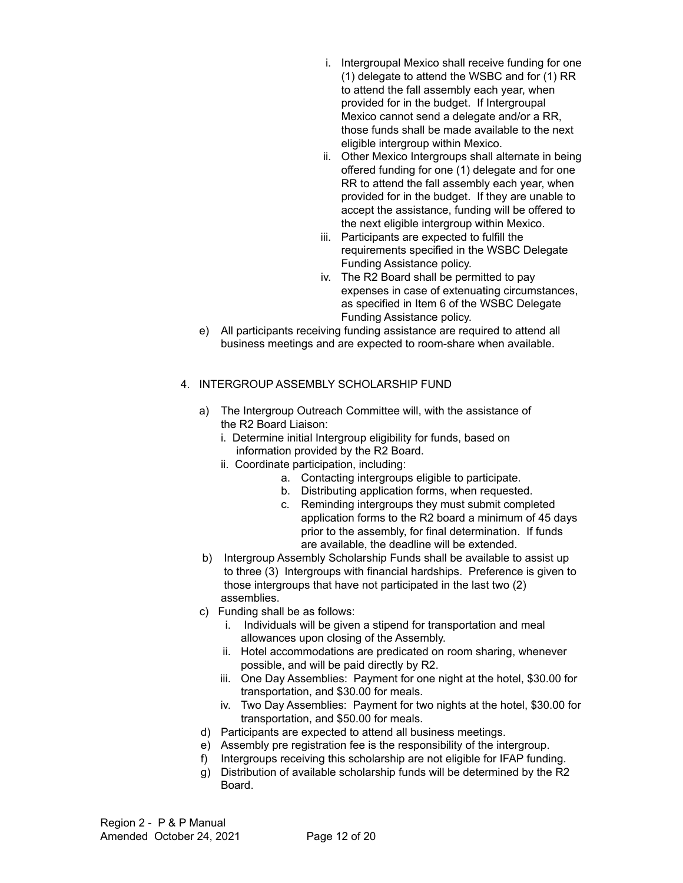- i. Intergroupal Mexico shall receive funding for one (1) delegate to attend the WSBC and for (1) RR to attend the fall assembly each year, when provided for in the budget. If Intergroupal Mexico cannot send a delegate and/or a RR, those funds shall be made available to the next eligible intergroup within Mexico.
- ii. Other Mexico Intergroups shall alternate in being offered funding for one (1) delegate and for one RR to attend the fall assembly each year, when provided for in the budget. If they are unable to accept the assistance, funding will be offered to the next eligible intergroup within Mexico.
- iii. Participants are expected to fulfill the requirements specified in the WSBC Delegate Funding Assistance policy.
- iv. The R2 Board shall be permitted to pay expenses in case of extenuating circumstances, as specified in Item 6 of the WSBC Delegate Funding Assistance policy.
- e) All participants receiving funding assistance are required to attend all business meetings and are expected to room-share when available.

#### 4. INTERGROUP ASSEMBLY SCHOLARSHIP FUND

- a) The Intergroup Outreach Committee will, with the assistance of the R2 Board Liaison:
	- i. Determine initial Intergroup eligibility for funds, based on information provided by the R2 Board.
	- ii. Coordinate participation, including:
		- a. Contacting intergroups eligible to participate.
		- b. Distributing application forms, when requested.
		- c. Reminding intergroups they must submit completed application forms to the R2 board a minimum of 45 days prior to the assembly, for final determination. If funds are available, the deadline will be extended.
- b) Intergroup Assembly Scholarship Funds shall be available to assist up to three (3) Intergroups with financial hardships. Preference is given to those intergroups that have not participated in the last two (2) assemblies.
- c) Funding shall be as follows:
	- i. Individuals will be given a stipend for transportation and meal allowances upon closing of the Assembly.
	- ii. Hotel accommodations are predicated on room sharing, whenever possible, and will be paid directly by R2.
	- iii. One Day Assemblies: Payment for one night at the hotel, \$30.00 for transportation, and \$30.00 for meals.
	- iv. Two Day Assemblies: Payment for two nights at the hotel, \$30.00 for transportation, and \$50.00 for meals.
- d) Participants are expected to attend all business meetings.
- e) Assembly pre registration fee is the responsibility of the intergroup.
- f) Intergroups receiving this scholarship are not eligible for IFAP funding.
- g) Distribution of available scholarship funds will be determined by the R2 Board.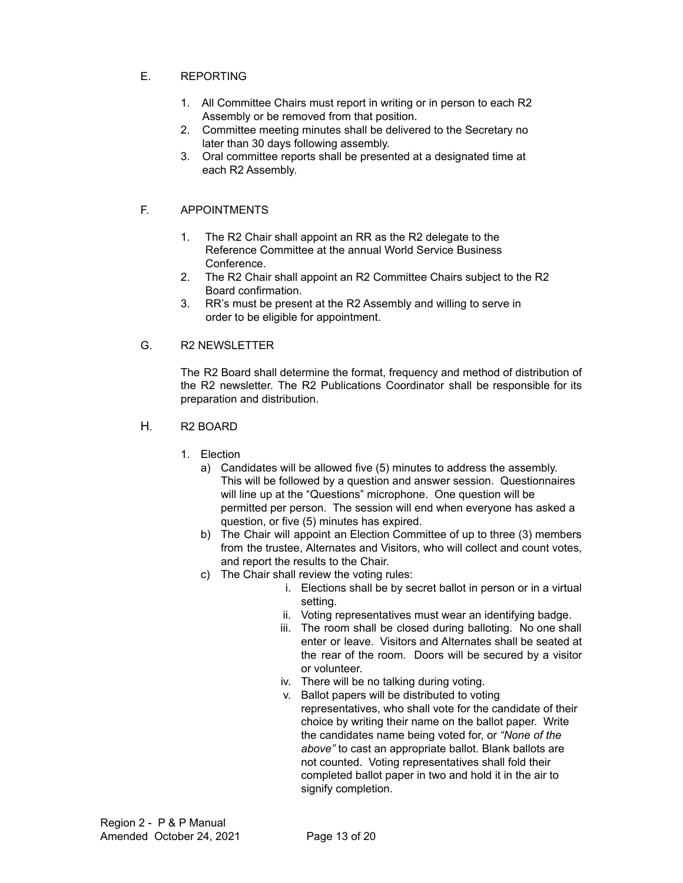### E. REPORTING

- 1. All Committee Chairs must report in writing or in person to each R2 Assembly or be removed from that position.
- 2. Committee meeting minutes shall be delivered to the Secretary no later than 30 days following assembly.
- 3. Oral committee reports shall be presented at a designated time at each R2 Assembly.

#### F. APPOINTMENTS

- 1. The R2 Chair shall appoint an RR as the R2 delegate to the Reference Committee at the annual World Service Business Conference.
- 2. The R2 Chair shall appoint an R2 Committee Chairs subject to the R2 Board confirmation.
- 3. RR's must be present at the R2 Assembly and willing to serve in order to be eligible for appointment.

#### G. R2 NEWSLETTER

The R2 Board shall determine the format, frequency and method of distribution of the R2 newsletter. The R2 Publications Coordinator shall be responsible for its preparation and distribution.

- H. R2 BOARD
	- 1. Election
		- a) Candidates will be allowed five (5) minutes to address the assembly. This will be followed by a question and answer session. Questionnaires will line up at the "Questions" microphone. One question will be permitted per person. The session will end when everyone has asked a question, or five (5) minutes has expired.
		- b) The Chair will appoint an Election Committee of up to three (3) members from the trustee, Alternates and Visitors, who will collect and count votes, and report the results to the Chair.
		- c) The Chair shall review the voting rules:
			- i. Elections shall be by secret ballot in person or in a virtual setting.
			- ii. Voting representatives must wear an identifying badge.
			- iii. The room shall be closed during balloting. No one shall enter or leave. Visitors and Alternates shall be seated at the rear of the room. Doors will be secured by a visitor or volunteer.
			- iv. There will be no talking during voting.
			- v. Ballot papers will be distributed to voting representatives, who shall vote for the candidate of their choice by writing their name on the ballot paper. Write the candidates name being voted for, or *"None of the above"* to cast an appropriate ballot. Blank ballots are not counted. Voting representatives shall fold their completed ballot paper in two and hold it in the air to signify completion.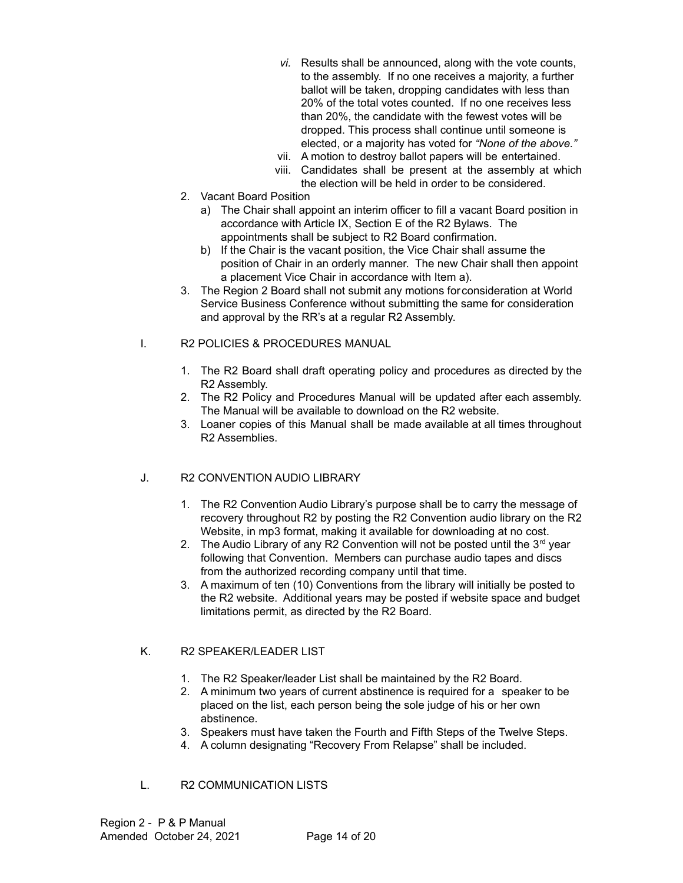- *vi.* Results shall be announced, along with the vote counts, to the assembly. If no one receives a majority, a further ballot will be taken, dropping candidates with less than 20% of the total votes counted. If no one receives less than 20%, the candidate with the fewest votes will be dropped. This process shall continue until someone is elected, or a majority has voted for *"None of the above."*
- vii. A motion to destroy ballot papers will be entertained.
- viii. Candidates shall be present at the assembly at which the election will be held in order to be considered.
- 2. Vacant Board Position
	- a) The Chair shall appoint an interim officer to fill a vacant Board position in accordance with Article IX, Section E of the R2 Bylaws. The appointments shall be subject to R2 Board confirmation.
	- b) If the Chair is the vacant position, the Vice Chair shall assume the position of Chair in an orderly manner. The new Chair shall then appoint a placement Vice Chair in accordance with Item a).
- 3. The Region 2 Board shall not submit any motions forconsideration at World Service Business Conference without submitting the same for consideration and approval by the RR's at a regular R2 Assembly.
- I. R2 POLICIES & PROCEDURES MANUAL
	- 1. The R2 Board shall draft operating policy and procedures as directed by the R2 Assembly.
	- 2. The R2 Policy and Procedures Manual will be updated after each assembly. The Manual will be available to download on the R2 website.
	- 3. Loaner copies of this Manual shall be made available at all times throughout R2 Assemblies.

## J. R2 CONVENTION AUDIO LIBRARY

- 1. The R2 Convention Audio Library's purpose shall be to carry the message of recovery throughout R2 by posting the R2 Convention audio library on the R2 Website, in mp3 format, making it available for downloading at no cost.
- 2. The Audio Library of any R2 Convention will not be posted until the  $3<sup>rd</sup>$  year following that Convention. Members can purchase audio tapes and discs from the authorized recording company until that time.
- 3. A maximum of ten (10) Conventions from the library will initially be posted to the R2 website. Additional years may be posted if website space and budget limitations permit, as directed by the R2 Board.

#### K. R2 SPEAKER/LEADER LIST

- 1. The R2 Speaker/leader List shall be maintained by the R2 Board.
- 2. A minimum two years of current abstinence is required for a speaker to be placed on the list, each person being the sole judge of his or her own abstinence.
- 3. Speakers must have taken the Fourth and Fifth Steps of the Twelve Steps.
- 4. A column designating "Recovery From Relapse" shall be included.
- L. R2 COMMUNICATION LISTS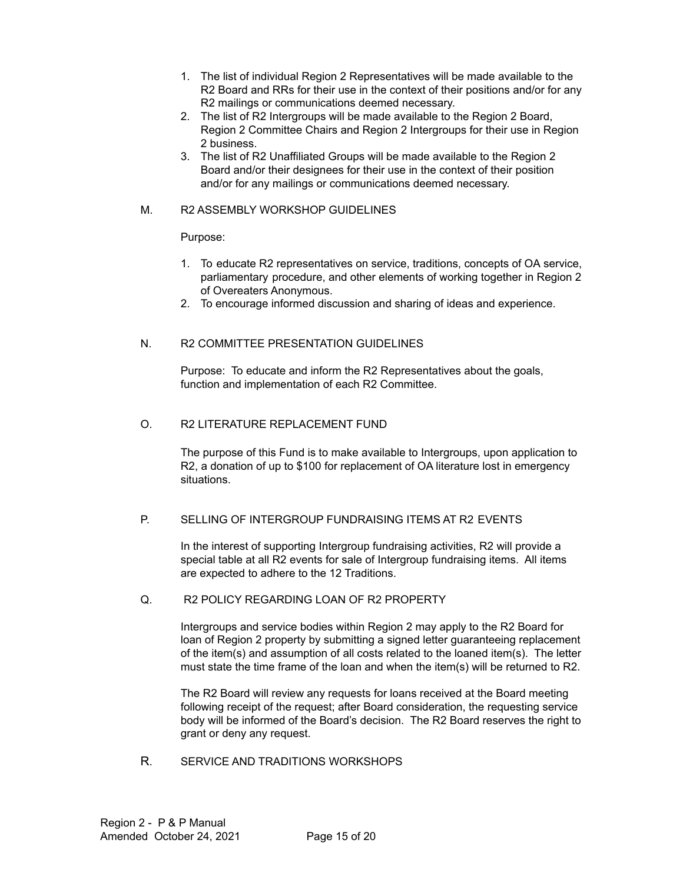- 1. The list of individual Region 2 Representatives will be made available to the R2 Board and RRs for their use in the context of their positions and/or for any R2 mailings or communications deemed necessary.
- 2. The list of R2 Intergroups will be made available to the Region 2 Board, Region 2 Committee Chairs and Region 2 Intergroups for their use in Region 2 business.
- 3. The list of R2 Unaffiliated Groups will be made available to the Region 2 Board and/or their designees for their use in the context of their position and/or for any mailings or communications deemed necessary.

#### M. R2 ASSEMBLY WORKSHOP GUIDELINES

#### Purpose:

- 1. To educate R2 representatives on service, traditions, concepts of OA service, parliamentary procedure, and other elements of working together in Region 2 of Overeaters Anonymous.
- 2. To encourage informed discussion and sharing of ideas and experience.

#### N. R2 COMMITTEE PRESENTATION GUIDELINES

Purpose: To educate and inform the R2 Representatives about the goals, function and implementation of each R2 Committee.

#### O. R2 LITERATURE REPLACEMENT FUND

The purpose of this Fund is to make available to Intergroups, upon application to R2, a donation of up to \$100 for replacement of OA literature lost in emergency situations.

#### P. SELLING OF INTERGROUP FUNDRAISING ITEMS AT R2 EVENTS

In the interest of supporting Intergroup fundraising activities, R2 will provide a special table at all R2 events for sale of Intergroup fundraising items. All items are expected to adhere to the 12 Traditions.

#### Q. R2 POLICY REGARDING LOAN OF R2 PROPERTY

Intergroups and service bodies within Region 2 may apply to the R2 Board for loan of Region 2 property by submitting a signed letter guaranteeing replacement of the item(s) and assumption of all costs related to the loaned item(s). The letter must state the time frame of the loan and when the item(s) will be returned to R2.

The R2 Board will review any requests for loans received at the Board meeting following receipt of the request; after Board consideration, the requesting service body will be informed of the Board's decision. The R2 Board reserves the right to grant or deny any request.

R. SERVICE AND TRADITIONS WORKSHOPS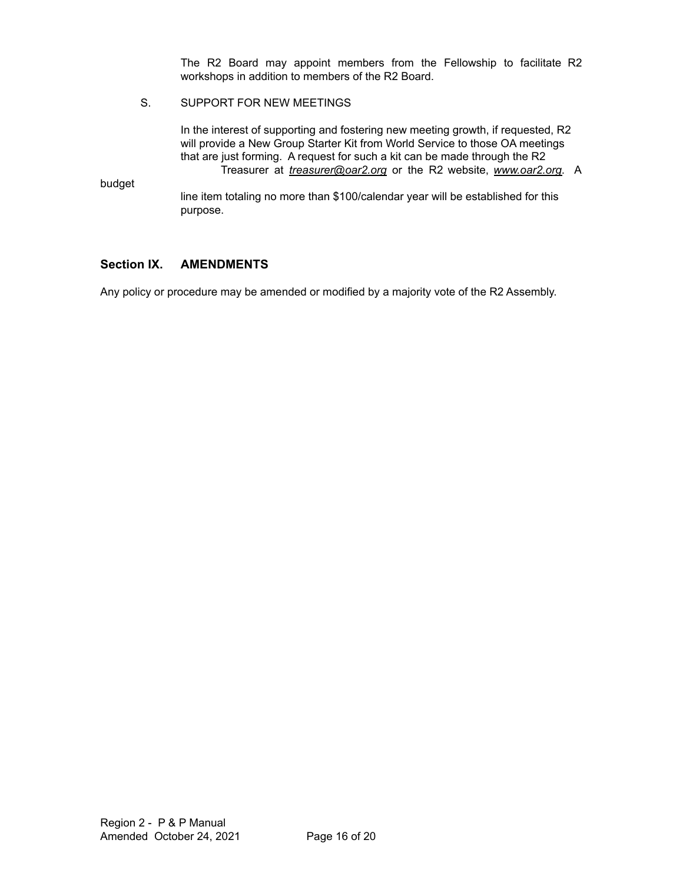The R2 Board may appoint members from the Fellowship to facilitate R2 workshops in addition to members of the R2 Board.

#### S. SUPPORT FOR NEW MEETINGS

In the interest of supporting and fostering new meeting growth, if requested, R2 will provide a New Group Starter Kit from World Service to those OA meetings that are just forming. A request for such a kit can be made through the R2 Treasurer at *treasurer@oar2.org* or the R2 website, *www.oar2.org*. A

budget

line item totaling no more than \$100/calendar year will be established for this purpose.

## **Section IX. AMENDMENTS**

Any policy or procedure may be amended or modified by a majority vote of the R2 Assembly.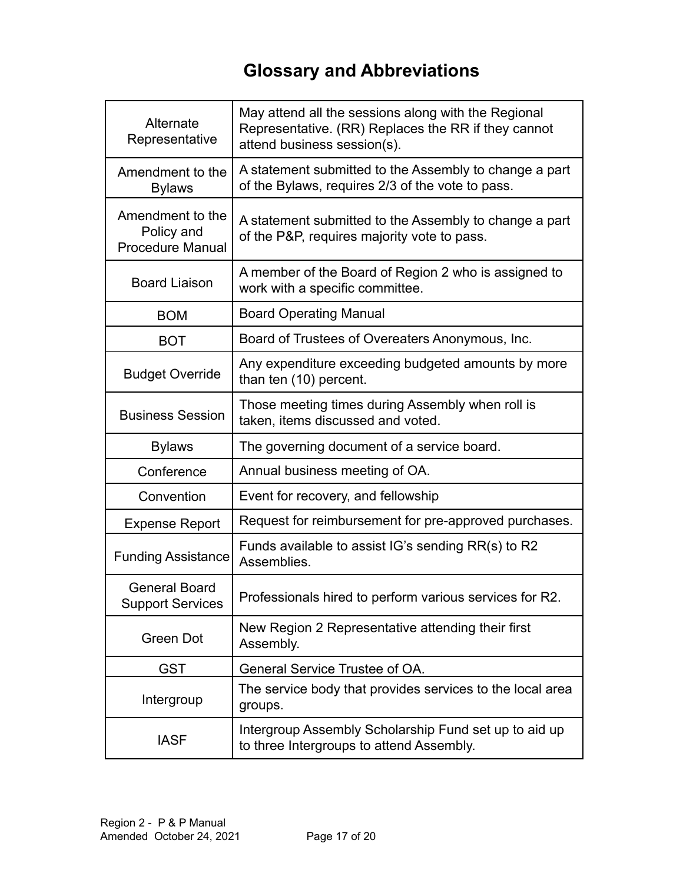# **Glossary and Abbreviations**

| Alternate<br>Representative                               | May attend all the sessions along with the Regional<br>Representative. (RR) Replaces the RR if they cannot<br>attend business session(s). |
|-----------------------------------------------------------|-------------------------------------------------------------------------------------------------------------------------------------------|
| Amendment to the<br><b>Bylaws</b>                         | A statement submitted to the Assembly to change a part<br>of the Bylaws, requires 2/3 of the vote to pass.                                |
| Amendment to the<br>Policy and<br><b>Procedure Manual</b> | A statement submitted to the Assembly to change a part<br>of the P&P, requires majority vote to pass.                                     |
| <b>Board Liaison</b>                                      | A member of the Board of Region 2 who is assigned to<br>work with a specific committee.                                                   |
| <b>BOM</b>                                                | <b>Board Operating Manual</b>                                                                                                             |
| <b>BOT</b>                                                | Board of Trustees of Overeaters Anonymous, Inc.                                                                                           |
| <b>Budget Override</b>                                    | Any expenditure exceeding budgeted amounts by more<br>than ten (10) percent.                                                              |
| <b>Business Session</b>                                   | Those meeting times during Assembly when roll is<br>taken, items discussed and voted.                                                     |
| <b>Bylaws</b>                                             | The governing document of a service board.                                                                                                |
| Conference                                                | Annual business meeting of OA.                                                                                                            |
| Convention                                                | Event for recovery, and fellowship                                                                                                        |
| <b>Expense Report</b>                                     | Request for reimbursement for pre-approved purchases.                                                                                     |
| <b>Funding Assistance</b>                                 | Funds available to assist IG's sending RR(s) to R2<br>Assemblies.                                                                         |
| <b>General Board</b><br><b>Support Services</b>           | Professionals hired to perform various services for R2                                                                                    |
| Green Dot                                                 | New Region 2 Representative attending their first<br>Assembly.                                                                            |
| <b>GST</b>                                                | General Service Trustee of OA.                                                                                                            |
| Intergroup                                                | The service body that provides services to the local area<br>groups.                                                                      |
| <b>IASF</b>                                               | Intergroup Assembly Scholarship Fund set up to aid up<br>to three Intergroups to attend Assembly.                                         |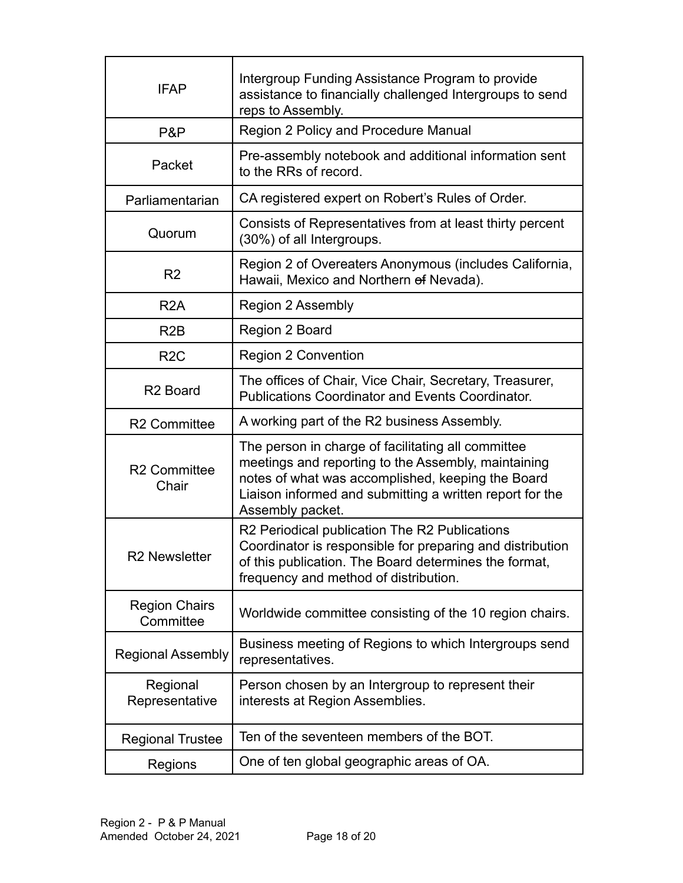| <b>IFAP</b>                       | Intergroup Funding Assistance Program to provide<br>assistance to financially challenged Intergroups to send<br>reps to Assembly.                                                                                                              |
|-----------------------------------|------------------------------------------------------------------------------------------------------------------------------------------------------------------------------------------------------------------------------------------------|
| P&P                               | Region 2 Policy and Procedure Manual                                                                                                                                                                                                           |
| Packet                            | Pre-assembly notebook and additional information sent<br>to the RRs of record.                                                                                                                                                                 |
| Parliamentarian                   | CA registered expert on Robert's Rules of Order.                                                                                                                                                                                               |
| Quorum                            | Consists of Representatives from at least thirty percent<br>(30%) of all Intergroups.                                                                                                                                                          |
| R <sub>2</sub>                    | Region 2 of Overeaters Anonymous (includes California,<br>Hawaii, Mexico and Northern of Nevada).                                                                                                                                              |
| R <sub>2</sub> A                  | Region 2 Assembly                                                                                                                                                                                                                              |
| R <sub>2</sub> B                  | Region 2 Board                                                                                                                                                                                                                                 |
| R <sub>2</sub> C                  | <b>Region 2 Convention</b>                                                                                                                                                                                                                     |
| R <sub>2</sub> Board              | The offices of Chair, Vice Chair, Secretary, Treasurer,<br><b>Publications Coordinator and Events Coordinator.</b>                                                                                                                             |
| <b>R2 Committee</b>               | A working part of the R2 business Assembly.                                                                                                                                                                                                    |
| <b>R2 Committee</b><br>Chair      | The person in charge of facilitating all committee<br>meetings and reporting to the Assembly, maintaining<br>notes of what was accomplished, keeping the Board<br>Liaison informed and submitting a written report for the<br>Assembly packet. |
| <b>R2 Newsletter</b>              | R2 Periodical publication The R2 Publications<br>Coordinator is responsible for preparing and distribution<br>of this publication. The Board determines the format,<br>frequency and method of distribution.                                   |
| <b>Region Chairs</b><br>Committee | Worldwide committee consisting of the 10 region chairs.                                                                                                                                                                                        |
| <b>Regional Assembly</b>          | Business meeting of Regions to which Intergroups send<br>representatives.                                                                                                                                                                      |
| Regional<br>Representative        | Person chosen by an Intergroup to represent their<br>interests at Region Assemblies.                                                                                                                                                           |
| <b>Regional Trustee</b>           | Ten of the seventeen members of the BOT.                                                                                                                                                                                                       |
| Regions                           | One of ten global geographic areas of OA.                                                                                                                                                                                                      |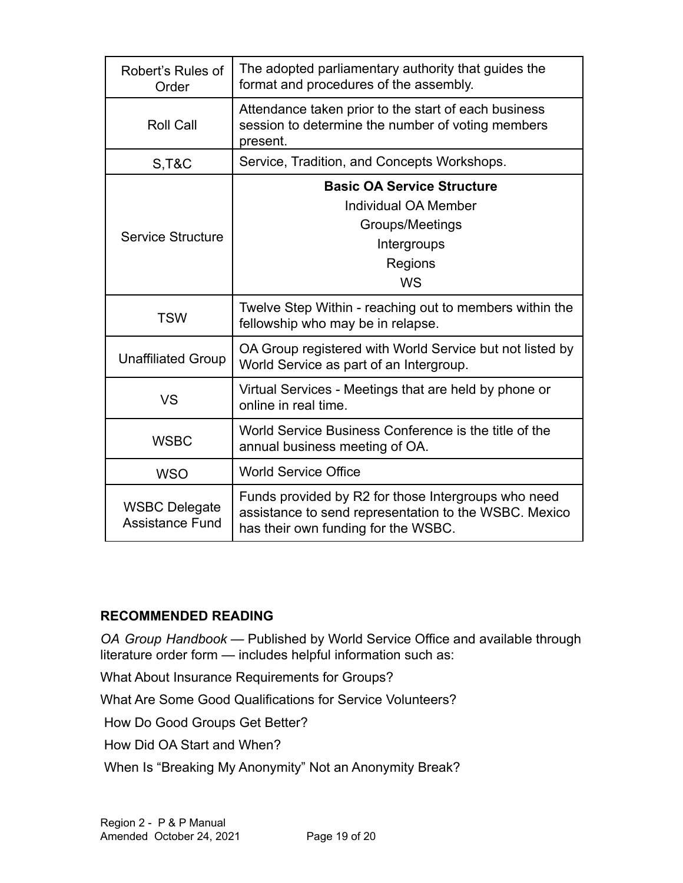| Robert's Rules of<br>Order                     | The adopted parliamentary authority that guides the<br>format and procedures of the assembly.                                                       |
|------------------------------------------------|-----------------------------------------------------------------------------------------------------------------------------------------------------|
| <b>Roll Call</b>                               | Attendance taken prior to the start of each business<br>session to determine the number of voting members<br>present.                               |
| <b>S, T&amp;C</b>                              | Service, Tradition, and Concepts Workshops.                                                                                                         |
| Service Structure                              | <b>Basic OA Service Structure</b><br>Individual OA Member<br>Groups/Meetings<br>Intergroups<br>Regions<br><b>WS</b>                                 |
| <b>TSW</b>                                     | Twelve Step Within - reaching out to members within the<br>fellowship who may be in relapse.                                                        |
| <b>Unaffiliated Group</b>                      | OA Group registered with World Service but not listed by<br>World Service as part of an Intergroup.                                                 |
| VS                                             | Virtual Services - Meetings that are held by phone or<br>online in real time.                                                                       |
| <b>WSBC</b>                                    | World Service Business Conference is the title of the<br>annual business meeting of OA.                                                             |
| <b>WSO</b>                                     | <b>World Service Office</b>                                                                                                                         |
| <b>WSBC Delegate</b><br><b>Assistance Fund</b> | Funds provided by R2 for those Intergroups who need<br>assistance to send representation to the WSBC. Mexico<br>has their own funding for the WSBC. |

# **RECOMMENDED READING**

*OA Group Handbook* — Published by World Service Office and available through literature order form — includes helpful information such as:

What About Insurance Requirements for Groups?

What Are Some Good Qualifications for Service Volunteers?

How Do Good Groups Get Better?

How Did OA Start and When?

When Is "Breaking My Anonymity" Not an Anonymity Break?